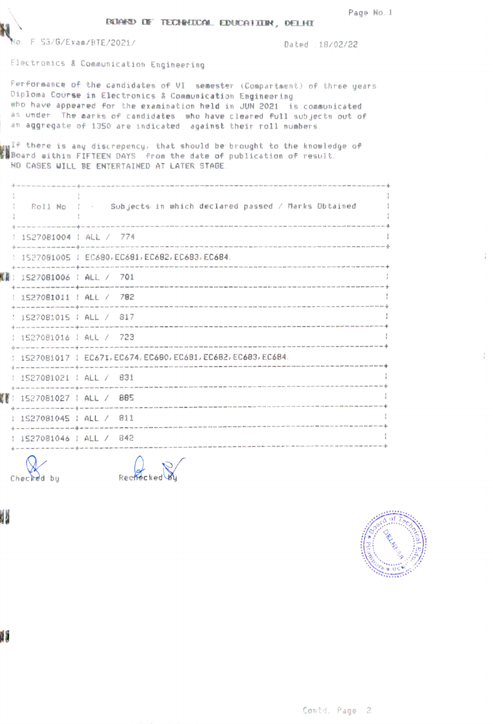Page No. 1

|  | <b>EXERU DE TECHNOCAL EDUCATION, DELHI</b> |  |
|--|--------------------------------------------|--|
|  |                                            |  |



No. F.53/G/Exan/HTE/2021/ Dated 18/02/22

Electronics & Communication Engineering

Fer fornance of the candidates of VI semester (Compartment) of three years Diploma Course in Electronics & Communication Engineer ing uho have appeared for the exanination held in JUN 2021 is comunicated as under. The marks of candidates who have cleared full sub jects out of an aggregate of 1350 are indicated against their roll numbers

 $\mathbf{u}^{\text{TF}}$  there is any discrepency, the Board within FIFTEEN DAYS from the date of publication of result NO CASES UILL BE ENTERTAINED AT LATER STAGE should be brought to the knowledge of

|                            | Roll No 1 . Subjects in which declared passed / Marks Obtained |
|----------------------------|----------------------------------------------------------------|
| 1527081004   ALL / 774     |                                                                |
|                            | 1527081005   EC680, EC681, EC682, EC683, EC684.                |
| [@: 1527081006 : ALL / 701 |                                                                |
| 1527081011   ALL / 782     |                                                                |
| : 1527081015 : ALL / 817   |                                                                |
| : 1527081016 : ALL / 723   |                                                                |
|                            | 1527081017   EC671, EC674, EC680, EC681, EC682, EC683, EC684.  |
| 1527081021   ALL / 831     |                                                                |
| E: 1527081027 : ALL / 885  |                                                                |
| 1527081045 ; ALL / 811     |                                                                |

and state was one can be an any state of 1527081046 | ALL / 842 .<br>The contract contract and contract she will be a set of the contract contract contract that more than the state of

-

Checked by Rechecked

JИ



W